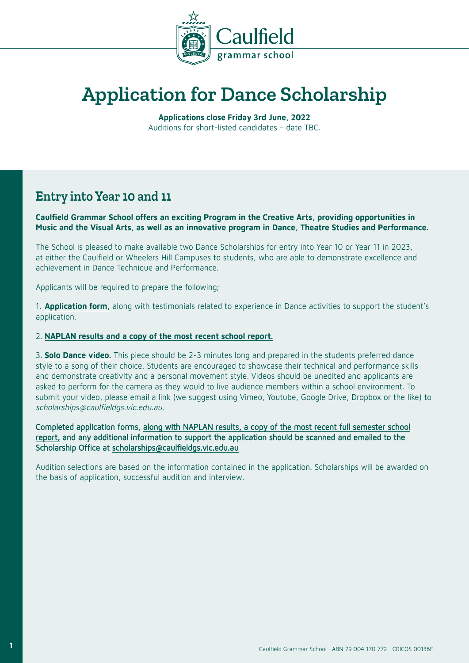

## **Application for Dance Scholarship**

**Applications close Friday 3rd June, 2022** Auditions for short-listed candidates – date TBC.

### **Entry into Year 10 and 11**

**Caulfield Grammar School offers an exciting Program in the Creative Arts, providing opportunities in Music and the Visual Arts, as well as an innovative program in Dance, Theatre Studies and Performance.** 

The School is pleased to make available two Dance Scholarships for entry into Year 10 or Year 11 in 2023, at either the Caulfield or Wheelers Hill Campuses to students, who are able to demonstrate excellence and achievement in Dance Technique and Performance.

Applicants will be required to prepare the following;

1. **Application form,** along with testimonials related to experience in Dance activities to support the student's application.

#### 2. **NAPLAN results and a copy of the most recent school report.**

3. **Solo Dance video.** This piece should be 2-3 minutes long and prepared in the students preferred dance style to a song of their choice. Students are encouraged to showcase their technical and performance skills and demonstrate creativity and a personal movement style. Videos should be unedited and applicants are asked to perform for the camera as they would to live audience members within a school environment. To submit your video, please email a link (we suggest using Vimeo, Youtube, Google Drive, Dropbox or the like) to scholarships@caulfieldgs.vic.edu.au.

Completed application forms, along with NAPLAN results, a copy of the most recent full semester school report, and any additional information to support the application should be scanned and emailed to the Scholarship Office at scholarships@caulfieldgs.vic.edu.au

Audition selections are based on the information contained in the application. Scholarships will be awarded on the basis of application, successful audition and interview.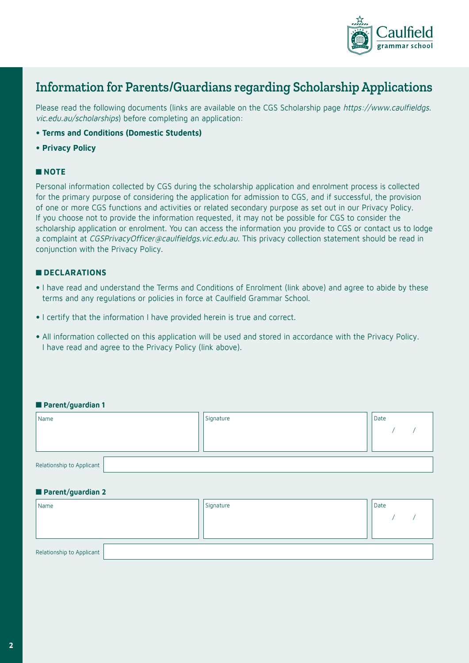

## **Information for Parents/Guardians regarding Scholarship Applications**

Please read the following documents (links are available on the CGS Scholarship page https://www.caulfieldgs. vic.edu.au/scholarships) before completing an application:

- **Terms and Conditions (Domestic Students)**
- **Privacy Policy**

#### ■ **NOTE**

Personal information collected by CGS during the scholarship application and enrolment process is collected for the primary purpose of considering the application for admission to CGS, and if successful, the provision of one or more CGS functions and activities or related secondary purpose as set out in our Privacy Policy. If you choose not to provide the information requested, it may not be possible for CGS to consider the scholarship application or enrolment. You can access the information you provide to CGS or contact us to lodge a complaint at CGSPrivacyOfficer@caulfieldgs.vic.edu.au. This privacy collection statement should be read in conjunction with the Privacy Policy.

#### ■ **DECLARATIONS**

- I have read and understand the Terms and Conditions of Enrolment (link above) and agree to abide by these terms and any regulations or policies in force at Caulfield Grammar School.
- I certify that the information I have provided herein is true and correct.
- All information collected on this application will be used and stored in accordance with the Privacy Policy. I have read and agree to the Privacy Policy (link above).

#### ■ **Parent/guardian 1**

| Name                      | Signature | Date |
|---------------------------|-----------|------|
|                           |           |      |
|                           |           |      |
| Relationship to Applicant |           |      |
|                           |           |      |
| Parent/guardian 2         |           |      |
| Name                      | Signature | Date |

| Tingule i                 | signatore | l nare |
|---------------------------|-----------|--------|
|                           |           |        |
|                           |           |        |
| Relationship to Applicant |           |        |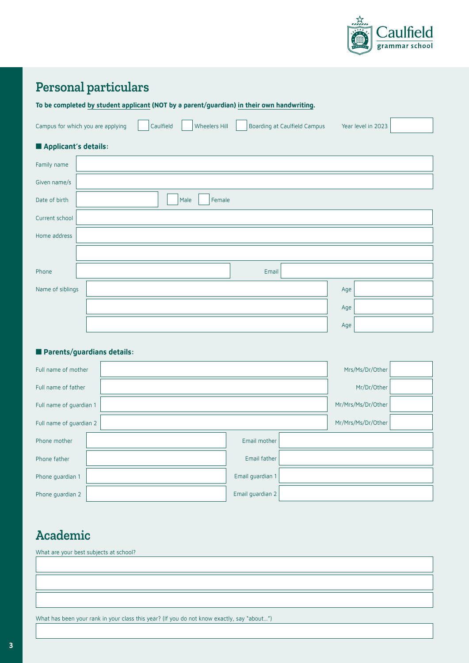

## **Personal particulars**

**To be completed by student applicant (NOT by a parent/guardian) in their own handwriting.**

| Campus for which you are applying Caulfield Wheelers Hill |  |  | Boarding at Caulfield Campus Year level in 2023 |  |
|-----------------------------------------------------------|--|--|-------------------------------------------------|--|
|                                                           |  |  |                                                 |  |

#### ■ **Applicant's details:**

| Family name      |                |  |
|------------------|----------------|--|
| Given name/s     |                |  |
| Date of birth    | Female<br>Male |  |
| Current school   |                |  |
| Home address     |                |  |
|                  |                |  |
| Phone            | Email          |  |
| Name of siblings | Age            |  |
|                  | Age            |  |
|                  | Age            |  |

#### ■ **Parents/guardians details:**

| Full name of mother     |  |                  |  | Mrs/Ms/Dr/Other    |  |
|-------------------------|--|------------------|--|--------------------|--|
| Full name of father     |  | Mr/Dr/Other      |  |                    |  |
| Full name of quardian 1 |  |                  |  | Mr/Mrs/Ms/Dr/Other |  |
| Full name of quardian 2 |  |                  |  | Mr/Mrs/Ms/Dr/Other |  |
| Phone mother            |  | Email mother     |  |                    |  |
| Phone father            |  | Email father     |  |                    |  |
| Phone guardian 1        |  | Email guardian 1 |  |                    |  |
| Phone guardian 2        |  | Email guardian 2 |  |                    |  |

## **Academic**

What are your best subjects at school?

What has been your rank in your class this year? (If you do not know exactly, say "about...")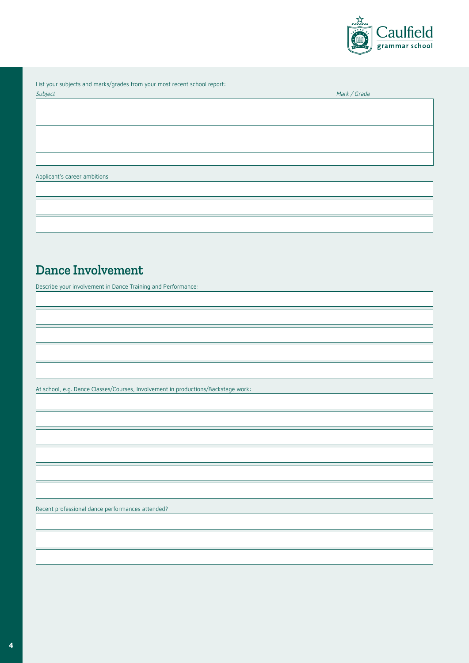

List your subjects and marks/grades from your most recent school report:

| Subject | Mark / Grade |
|---------|--------------|
|         |              |
|         |              |
|         |              |
|         |              |
|         |              |
|         |              |

#### Applicant's career ambitions

### **Dance Involvement**

Describe your involvement in Dance Training and Performance:

At school, e.g. Dance Classes/Courses, Involvement in productions/Backstage work:

Recent professional dance performances attended?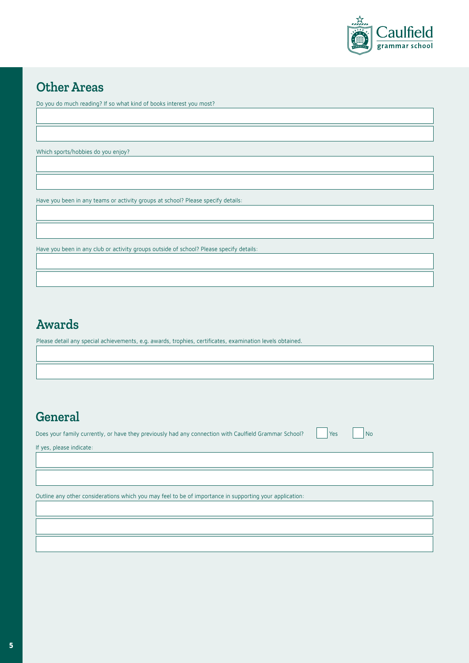

## **Other Areas**

Do you do much reading? If so what kind of books interest you most?

Which sports/hobbies do you enjoy?

Have you been in any teams or activity groups at school? Please specify details:

Have you been in any club or activity groups outside of school? Please specify details:

## **Awards**

Please detail any special achievements, e.g. awards, trophies, certificates, examination levels obtained.

## **General**

Does your family currently, or have they previously had any connection with Caulfield Grammar School? | Yes | No

If yes, please indicate:

Outline any other considerations which you may feel to be of importance in supporting your application: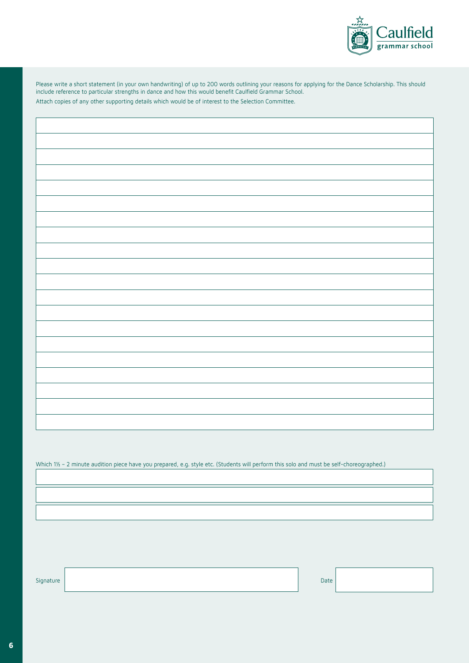

Please write a short statement (in your own handwriting) of up to 200 words outlining your reasons for applying for the Dance Scholarship. This should include reference to particular strengths in dance and how this would benefit Caulfield Grammar School. Attach copies of any other supporting details which would be of interest to the Selection Committee.

Which 1½ - 2 minute audition piece have you prepared, e.g. style etc. (Students will perform this solo and must be self-choreographed.)

Signature **Date of the State of the State of the State of the State of the State of the Date of the Date of the D**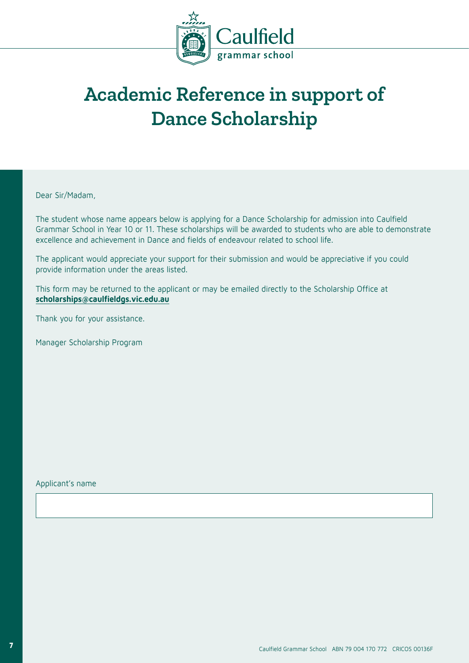

## **Academic Reference in support of Dance Scholarship**

Dear Sir/Madam,

The student whose name appears below is applying for a Dance Scholarship for admission into Caulfield Grammar School in Year 10 or 11. These scholarships will be awarded to students who are able to demonstrate excellence and achievement in Dance and fields of endeavour related to school life.

The applicant would appreciate your support for their submission and would be appreciative if you could provide information under the areas listed.

This form may be returned to the applicant or may be emailed directly to the Scholarship Office at **scholarships@caulfieldgs.vic.edu.au**

Thank you for your assistance.

Manager Scholarship Program

Applicant's name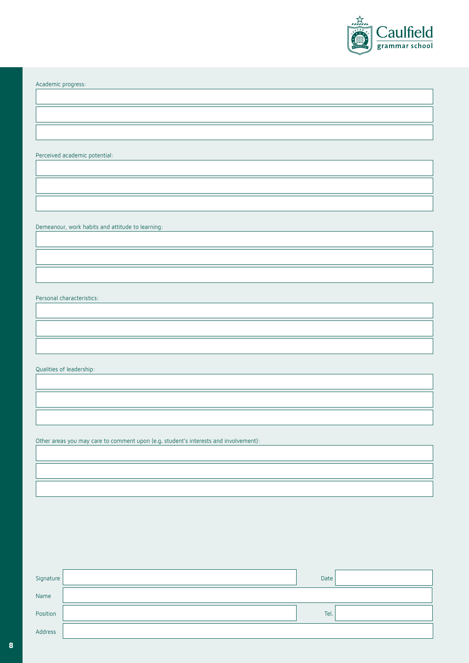

Academic progress:

Perceived academic potential:

Demeanour, work habits and attitude to learning:

Personal characteristics:

Qualities of leadership:

Other areas you may care to comment upon (e.g. student's interests and involvement):

| Signature | Date |  |
|-----------|------|--|
| Name      |      |  |
| Position  | Tel. |  |
| Address   |      |  |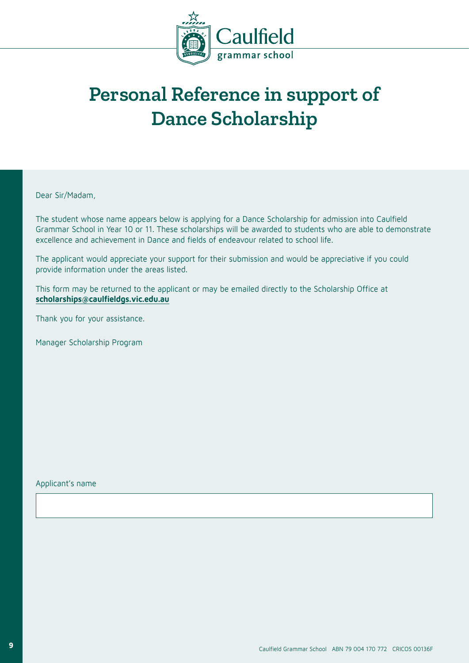

# **Personal Reference in support of Dance Scholarship**

Dear Sir/Madam,

The student whose name appears below is applying for a Dance Scholarship for admission into Caulfield Grammar School in Year 10 or 11. These scholarships will be awarded to students who are able to demonstrate excellence and achievement in Dance and fields of endeavour related to school life.

The applicant would appreciate your support for their submission and would be appreciative if you could provide information under the areas listed.

This form may be returned to the applicant or may be emailed directly to the Scholarship Office at **scholarships@caulfieldgs.vic.edu.au**

Thank you for your assistance.

Manager Scholarship Program

Applicant's name